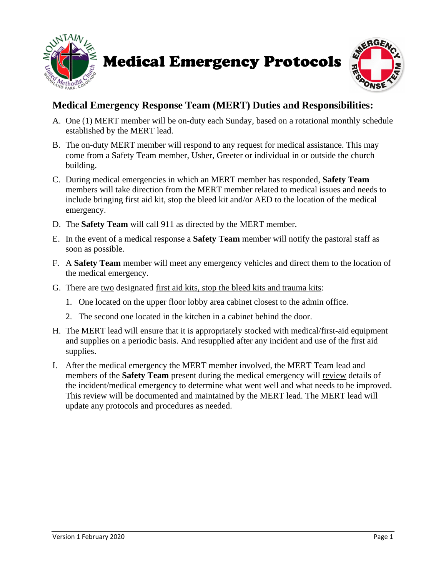

```
Medical Emergency Protocols
```


## **Medical Emergency Response Team (MERT) Duties and Responsibilities:**

- A. One (1) MERT member will be on-duty each Sunday, based on a rotational monthly schedule established by the MERT lead.
- B. The on-duty MERT member will respond to any request for medical assistance. This may come from a Safety Team member, Usher, Greeter or individual in or outside the church building.
- C. During medical emergencies in which an MERT member has responded, **Safety Team** members will take direction from the MERT member related to medical issues and needs to include bringing first aid kit, stop the bleed kit and/or AED to the location of the medical emergency.
- D. The **Safety Team** will call 911 as directed by the MERT member.
- E. In the event of a medical response a **Safety Team** member will notify the pastoral staff as soon as possible.
- F. A **Safety Team** member will meet any emergency vehicles and direct them to the location of the medical emergency.
- G. There are two designated first aid kits, stop the bleed kits and trauma kits:
	- 1. One located on the upper floor lobby area cabinet closest to the admin office.
	- 2. The second one located in the kitchen in a cabinet behind the door.
- H. The MERT lead will ensure that it is appropriately stocked with medical/first-aid equipment and supplies on a periodic basis. And resupplied after any incident and use of the first aid supplies.
- I. After the medical emergency the MERT member involved, the MERT Team lead and members of the **Safety Team** present during the medical emergency will review details of the incident/medical emergency to determine what went well and what needs to be improved. This review will be documented and maintained by the MERT lead. The MERT lead will update any protocols and procedures as needed.